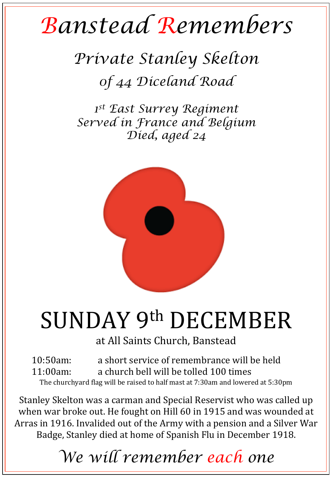## *Banstead Remembers*

*Private Stanley Skelton 0f 44 Diceland Road* 

*1st East Surrey Regiment Served in France and Belgium Died, aged 24* 



## SUNDAY 9th DECEMBER

at All Saints Church, Banstead

10:50am: a short service of remembrance will be held 11:00am: a church bell will be tolled 100 times The churchyard flag will be raised to half mast at 7:30am and lowered at 5:30pm

Stanley Skelton was a carman and Special Reservist who was called up when war broke out. He fought on Hill 60 in 1915 and was wounded at Arras in 1916. Invalided out of the Army with a pension and a Silver War Badge, Stanley died at home of Spanish Flu in December 1918.

*We will remember each one*